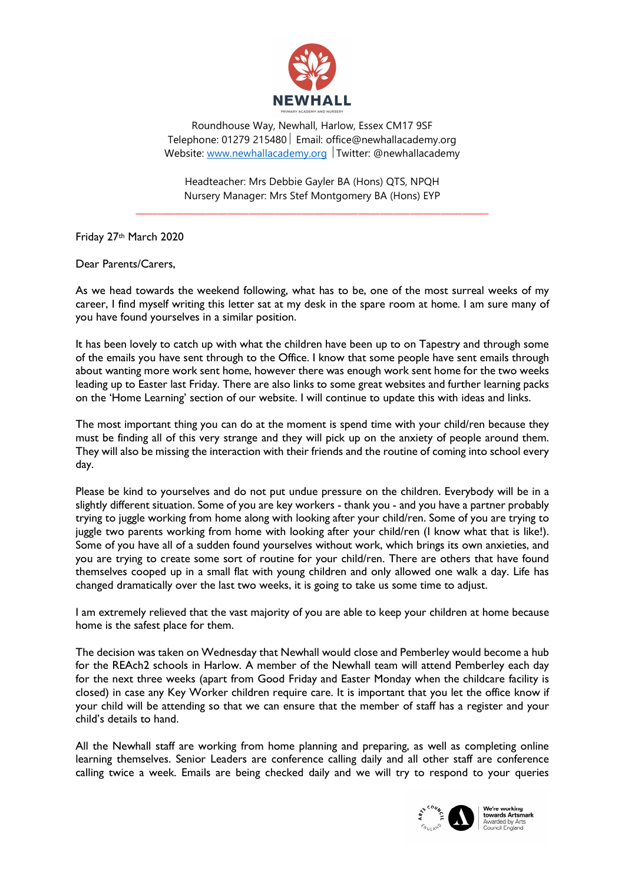

Roundhouse Way, Newhall, Harlow, Essex CM17 9SF Telephone: 01279 215480 | Email: office@newhallacademy.org Website: www.newhallacademy.org Twitter: @newhallacademy

Headteacher: Mrs Debbie Gayler BA (Hons) QTS, NPQH Nursery Manager: Mrs Stef Montgomery BA (Hons) EYP

\_\_\_\_\_\_\_\_\_\_\_\_\_\_\_\_\_\_\_\_\_\_\_\_\_\_\_\_\_\_\_\_\_\_\_\_\_\_\_\_\_\_\_\_\_\_\_\_\_\_\_\_\_\_\_\_\_\_\_\_\_\_\_\_\_\_\_\_\_\_\_\_\_\_\_\_\_\_\_\_\_

Friday 27th March 2020

Dear Parents/Carers,

As we head towards the weekend following, what has to be, one of the most surreal weeks of my career, I find myself writing this letter sat at my desk in the spare room at home. I am sure many of you have found yourselves in a similar position.

It has been lovely to catch up with what the children have been up to on Tapestry and through some of the emails you have sent through to the Office. I know that some people have sent emails through about wanting more work sent home, however there was enough work sent home for the two weeks leading up to Easter last Friday. There are also links to some great websites and further learning packs on the 'Home Learning' section of our website. I will continue to update this with ideas and links.

The most important thing you can do at the moment is spend time with your child/ren because they must be finding all of this very strange and they will pick up on the anxiety of people around them. They will also be missing the interaction with their friends and the routine of coming into school every day.

Please be kind to yourselves and do not put undue pressure on the children. Everybody will be in a slightly different situation. Some of you are key workers - thank you - and you have a partner probably trying to juggle working from home along with looking after your child/ren. Some of you are trying to juggle two parents working from home with looking after your child/ren (I know what that is like!). Some of you have all of a sudden found yourselves without work, which brings its own anxieties, and you are trying to create some sort of routine for your child/ren. There are others that have found themselves cooped up in a small flat with young children and only allowed one walk a day. Life has changed dramatically over the last two weeks, it is going to take us some time to adjust.

I am extremely relieved that the vast majority of you are able to keep your children at home because home is the safest place for them.

The decision was taken on Wednesday that Newhall would close and Pemberley would become a hub for the REAch2 schools in Harlow. A member of the Newhall team will attend Pemberley each day for the next three weeks (apart from Good Friday and Easter Monday when the childcare facility is closed) in case any Key Worker children require care. It is important that you let the office know if your child will be attending so that we can ensure that the member of staff has a register and your child's details to hand.

All the Newhall staff are working from home planning and preparing, as well as completing online learning themselves. Senior Leaders are conference calling daily and all other staff are conference calling twice a week. Emails are being checked daily and we will try to respond to your queries



We're working **vve re working<br>towards Artsmark**<br>Awarded by Arts<br>Council England